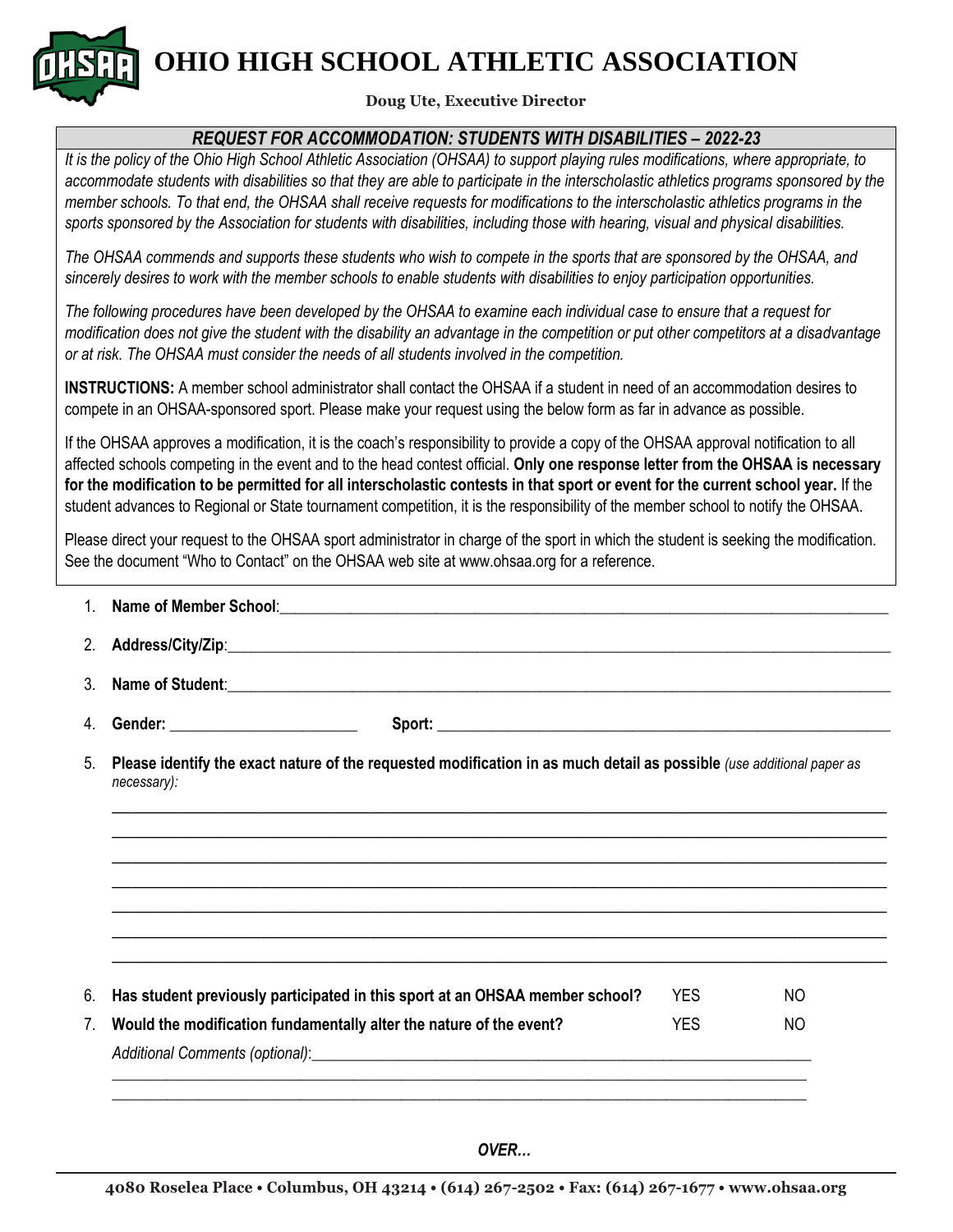**OHIO HIGH SCHOOL ATHLETIC ASSOCIATION**

## **Doug Ute, Executive Director**

## *REQUEST FOR ACCOMMODATION: STUDENTS WITH DISABILITIES – 2022-23*

*It is the policy of the Ohio High School Athletic Association (OHSAA) to support playing rules modifications, where appropriate, to accommodate students with disabilities so that they are able to participate in the interscholastic athletics programs sponsored by the member schools. To that end, the OHSAA shall receive requests for modifications to the interscholastic athletics programs in the sports sponsored by the Association for students with disabilities, including those with hearing, visual and physical disabilities.* 

*The OHSAA commends and supports these students who wish to compete in the sports that are sponsored by the OHSAA, and sincerely desires to work with the member schools to enable students with disabilities to enjoy participation opportunities.*

*The following procedures have been developed by the OHSAA to examine each individual case to ensure that a request for modification does not give the student with the disability an advantage in the competition or put other competitors at a disadvantage or at risk. The OHSAA must consider the needs of all students involved in the competition.*

**INSTRUCTIONS:** A member school administrator shall contact the OHSAA if a student in need of an accommodation desires to compete in an OHSAA-sponsored sport. Please make your request using the below form as far in advance as possible.

If the OHSAA approves a modification, it is the coach's responsibility to provide a copy of the OHSAA approval notification to all affected schools competing in the event and to the head contest official. **Only one response letter from the OHSAA is necessary for the modification to be permitted for all interscholastic contests in that sport or event for the current school year.** If the student advances to Regional or State tournament competition, it is the responsibility of the member school to notify the OHSAA.

Please direct your request to the OHSAA sport administrator in charge of the sport in which the student is seeking the modification. See the document "Who to Contact" on the OHSAA web site at www.ohsaa.org for a reference.

| 2 <sub>1</sub>                                                                                                                       |      |     |  |  |  |
|--------------------------------------------------------------------------------------------------------------------------------------|------|-----|--|--|--|
| 3. Name of Student:                                                                                                                  |      |     |  |  |  |
|                                                                                                                                      |      |     |  |  |  |
| Please identify the exact nature of the requested modification in as much detail as possible (use additional paper as<br>necessary): |      |     |  |  |  |
|                                                                                                                                      |      |     |  |  |  |
|                                                                                                                                      |      |     |  |  |  |
|                                                                                                                                      |      |     |  |  |  |
|                                                                                                                                      |      |     |  |  |  |
|                                                                                                                                      |      |     |  |  |  |
| Has student previously participated in this sport at an OHSAA member school?                                                         | YFS. | NO. |  |  |  |
| Would the modification fundamentally alter the nature of the event?                                                                  | YES. | NO. |  |  |  |